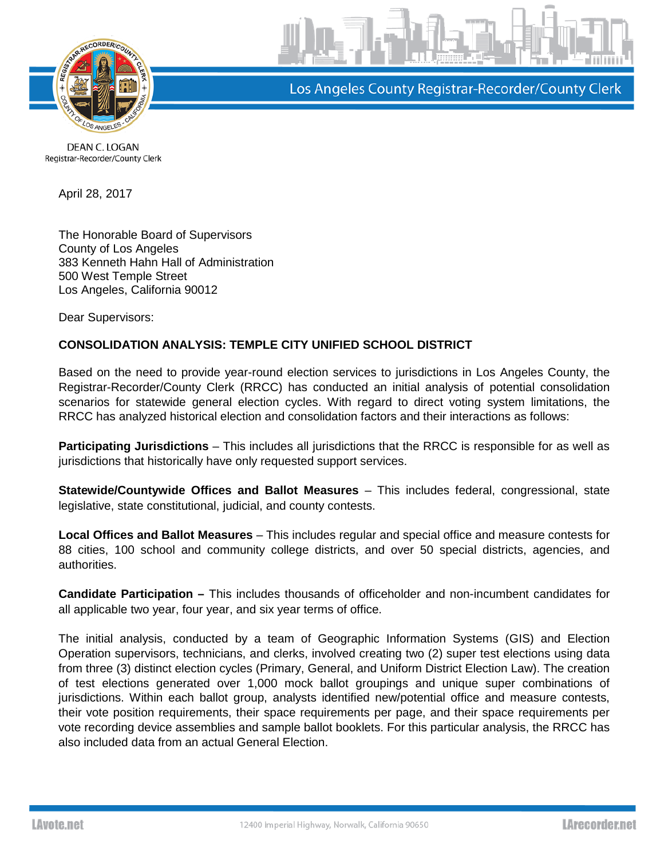

Los Angeles County Registrar-Recorder/County Clerk

DEAN C. LOGAN Registrar-Recorder/County Clerk

April 28, 2017

The Honorable Board of Supervisors County of Los Angeles 383 Kenneth Hahn Hall of Administration 500 West Temple Street Los Angeles, California 90012

Dear Supervisors:

## **CONSOLIDATION ANALYSIS: TEMPLE CITY UNIFIED SCHOOL DISTRICT**

Based on the need to provide year-round election services to jurisdictions in Los Angeles County, the Registrar-Recorder/County Clerk (RRCC) has conducted an initial analysis of potential consolidation scenarios for statewide general election cycles. With regard to direct voting system limitations, the RRCC has analyzed historical election and consolidation factors and their interactions as follows:

**Participating Jurisdictions** – This includes all jurisdictions that the RRCC is responsible for as well as jurisdictions that historically have only requested support services.

**Statewide/Countywide Offices and Ballot Measures** – This includes federal, congressional, state legislative, state constitutional, judicial, and county contests.

**Local Offices and Ballot Measures** – This includes regular and special office and measure contests for 88 cities, 100 school and community college districts, and over 50 special districts, agencies, and authorities.

**Candidate Participation –** This includes thousands of officeholder and non-incumbent candidates for all applicable two year, four year, and six year terms of office.

The initial analysis, conducted by a team of Geographic Information Systems (GIS) and Election Operation supervisors, technicians, and clerks, involved creating two (2) super test elections using data from three (3) distinct election cycles (Primary, General, and Uniform District Election Law). The creation of test elections generated over 1,000 mock ballot groupings and unique super combinations of jurisdictions. Within each ballot group, analysts identified new/potential office and measure contests, their vote position requirements, their space requirements per page, and their space requirements per vote recording device assemblies and sample ballot booklets. For this particular analysis, the RRCC has also included data from an actual General Election.